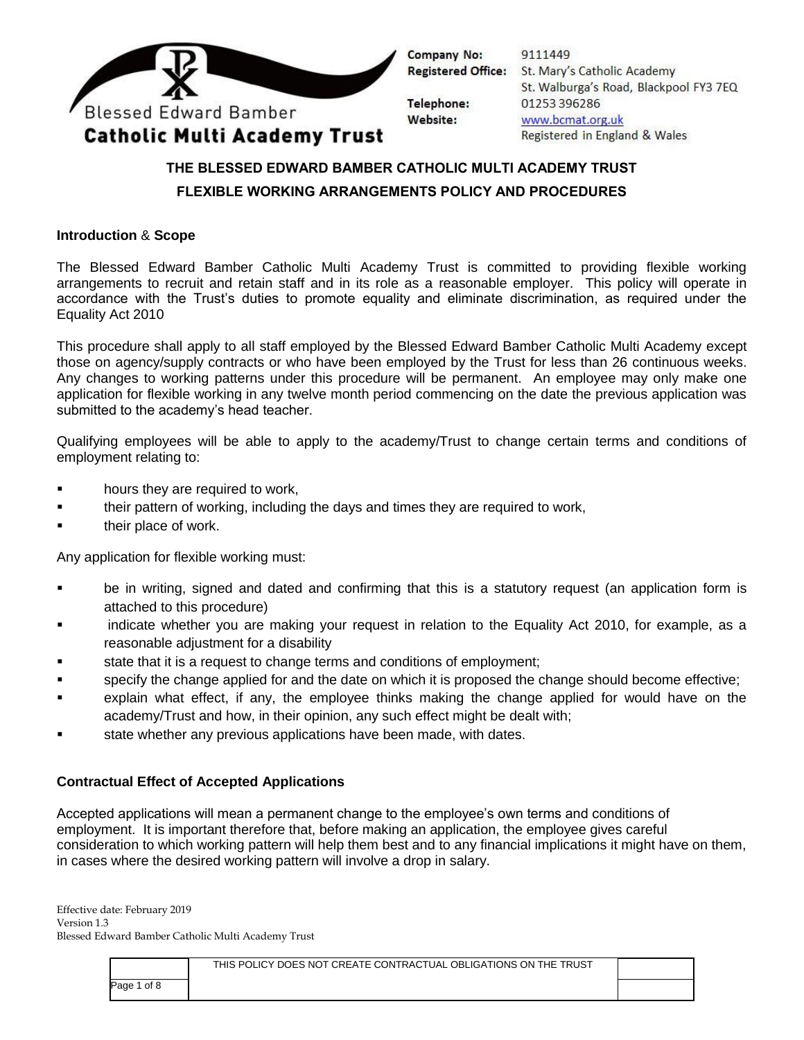

9111449 **Registered Office:** St. Mary's Catholic Academy St. Walburga's Road, Blackpool FY3 7EQ 01253 396286 www.bcmat.org.uk Registered in England & Wales

## **THE BLESSED EDWARD BAMBER CATHOLIC MULTI ACADEMY TRUST FLEXIBLE WORKING ARRANGEMENTS POLICY AND PROCEDURES**

### **Introduction** & **Scope**

The Blessed Edward Bamber Catholic Multi Academy Trust is committed to providing flexible working arrangements to recruit and retain staff and in its role as a reasonable employer. This policy will operate in accordance with the Trust's duties to promote equality and eliminate discrimination, as required under the Equality Act 2010

This procedure shall apply to all staff employed by the Blessed Edward Bamber Catholic Multi Academy except those on agency/supply contracts or who have been employed by the Trust for less than 26 continuous weeks. Any changes to working patterns under this procedure will be permanent. An employee may only make one application for flexible working in any twelve month period commencing on the date the previous application was submitted to the academy's head teacher.

Qualifying employees will be able to apply to the academy/Trust to change certain terms and conditions of employment relating to:

- hours they are required to work,
- their pattern of working, including the days and times they are required to work,
- **their place of work.**

Any application for flexible working must:

- be in writing, signed and dated and confirming that this is a statutory request (an application form is attached to this procedure)
- **Example indicate whether you are making your request in relation to the Equality Act 2010, for example, as a** reasonable adjustment for a disability
- state that it is a request to change terms and conditions of employment;
- specify the change applied for and the date on which it is proposed the change should become effective;
- explain what effect, if any, the employee thinks making the change applied for would have on the academy/Trust and how, in their opinion, any such effect might be dealt with;
- state whether any previous applications have been made, with dates.

#### **Contractual Effect of Accepted Applications**

Accepted applications will mean a permanent change to the employee's own terms and conditions of employment. It is important therefore that, before making an application, the employee gives careful consideration to which working pattern will help them best and to any financial implications it might have on them, in cases where the desired working pattern will involve a drop in salary.

|             | THIS POLICY DOES NOT CREATE CONTRACTUAL OBLIGATIONS ON THE TRUST |  |
|-------------|------------------------------------------------------------------|--|
| Page 1 of 8 |                                                                  |  |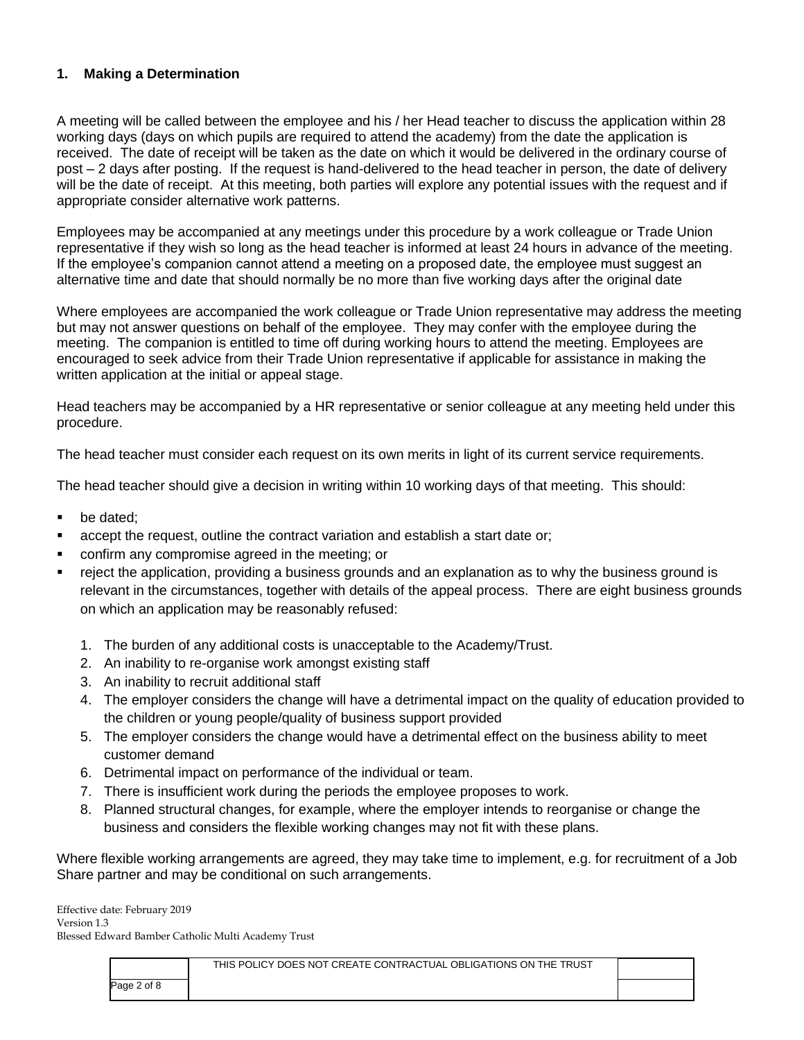### **1. Making a Determination**

A meeting will be called between the employee and his / her Head teacher to discuss the application within 28 working days (days on which pupils are required to attend the academy) from the date the application is received. The date of receipt will be taken as the date on which it would be delivered in the ordinary course of post – 2 days after posting. If the request is hand-delivered to the head teacher in person, the date of delivery will be the date of receipt. At this meeting, both parties will explore any potential issues with the request and if appropriate consider alternative work patterns.

Employees may be accompanied at any meetings under this procedure by a work colleague or Trade Union representative if they wish so long as the head teacher is informed at least 24 hours in advance of the meeting. If the employee's companion cannot attend a meeting on a proposed date, the employee must suggest an alternative time and date that should normally be no more than five working days after the original date

Where employees are accompanied the work colleague or Trade Union representative may address the meeting but may not answer questions on behalf of the employee. They may confer with the employee during the meeting. The companion is entitled to time off during working hours to attend the meeting. Employees are encouraged to seek advice from their Trade Union representative if applicable for assistance in making the written application at the initial or appeal stage.

Head teachers may be accompanied by a HR representative or senior colleague at any meeting held under this procedure.

The head teacher must consider each request on its own merits in light of its current service requirements.

The head teacher should give a decision in writing within 10 working days of that meeting. This should:

- be dated:
- accept the request, outline the contract variation and establish a start date or;
- confirm any compromise agreed in the meeting; or
- reject the application, providing a business grounds and an explanation as to why the business ground is relevant in the circumstances, together with details of the appeal process. There are eight business grounds on which an application may be reasonably refused:
	- 1. The burden of any additional costs is unacceptable to the Academy/Trust.
	- 2. An inability to re-organise work amongst existing staff
	- 3. An inability to recruit additional staff
	- 4. The employer considers the change will have a detrimental impact on the quality of education provided to the children or young people/quality of business support provided
	- 5. The employer considers the change would have a detrimental effect on the business ability to meet customer demand
	- 6. Detrimental impact on performance of the individual or team.
	- 7. There is insufficient work during the periods the employee proposes to work.
	- 8. Planned structural changes, for example, where the employer intends to reorganise or change the business and considers the flexible working changes may not fit with these plans.

Where flexible working arrangements are agreed, they may take time to implement, e.g. for recruitment of a Job Share partner and may be conditional on such arrangements.

|             | THIS POLICY DOES NOT CREATE CONTRACTUAL OBLIGATIONS ON THE TRUST |  |
|-------------|------------------------------------------------------------------|--|
| Page 2 of 8 |                                                                  |  |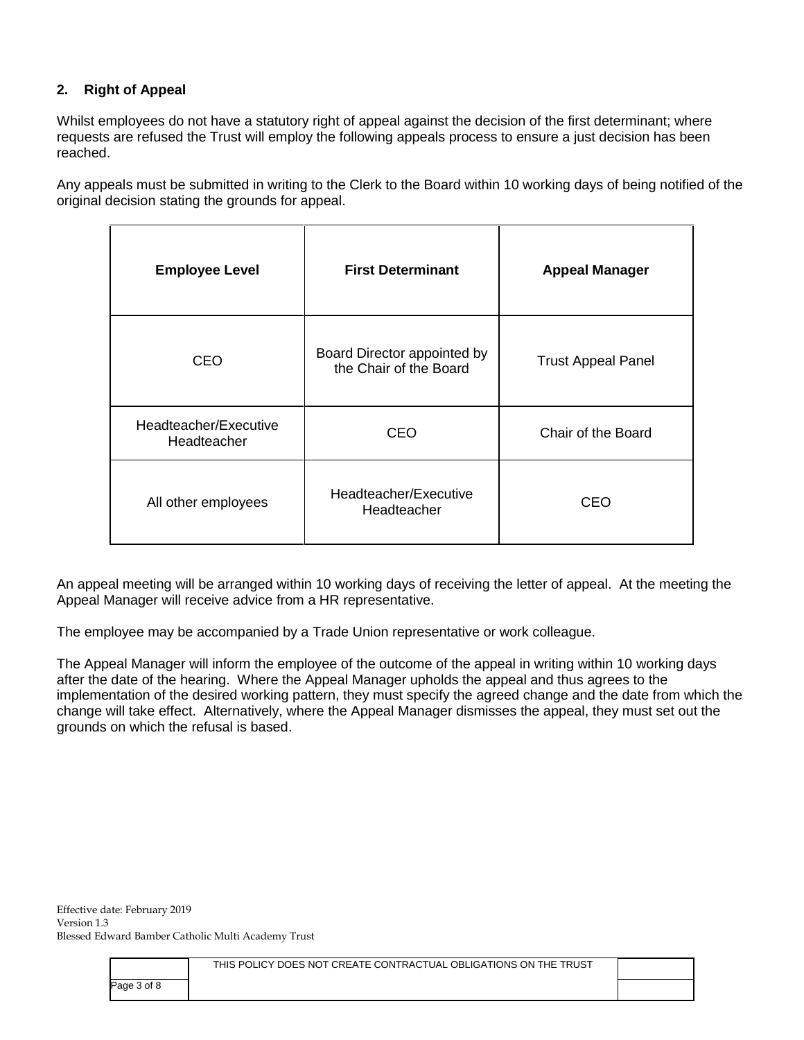## **2. Right of Appeal**

Whilst employees do not have a statutory right of appeal against the decision of the first determinant; where requests are refused the Trust will employ the following appeals process to ensure a just decision has been reached.

Any appeals must be submitted in writing to the Clerk to the Board within 10 working days of being notified of the original decision stating the grounds for appeal.

| <b>Employee Level</b>                | <b>First Determinant</b>                              | <b>Appeal Manager</b>     |
|--------------------------------------|-------------------------------------------------------|---------------------------|
| <b>CEO</b>                           | Board Director appointed by<br>the Chair of the Board | <b>Trust Appeal Panel</b> |
| Headteacher/Executive<br>Headteacher | CEO                                                   | Chair of the Board        |
| All other employees                  | Headteacher/Executive<br>Headteacher                  | CEO                       |

An appeal meeting will be arranged within 10 working days of receiving the letter of appeal. At the meeting the Appeal Manager will receive advice from a HR representative.

The employee may be accompanied by a Trade Union representative or work colleague.

The Appeal Manager will inform the employee of the outcome of the appeal in writing within 10 working days after the date of the hearing. Where the Appeal Manager upholds the appeal and thus agrees to the implementation of the desired working pattern, they must specify the agreed change and the date from which the change will take effect. Alternatively, where the Appeal Manager dismisses the appeal, they must set out the grounds on which the refusal is based.

|             | THIS POLICY DOES NOT CREATE CONTRACTUAL OBLIGATIONS ON THE TRUST |  |
|-------------|------------------------------------------------------------------|--|
| Page 3 of 8 |                                                                  |  |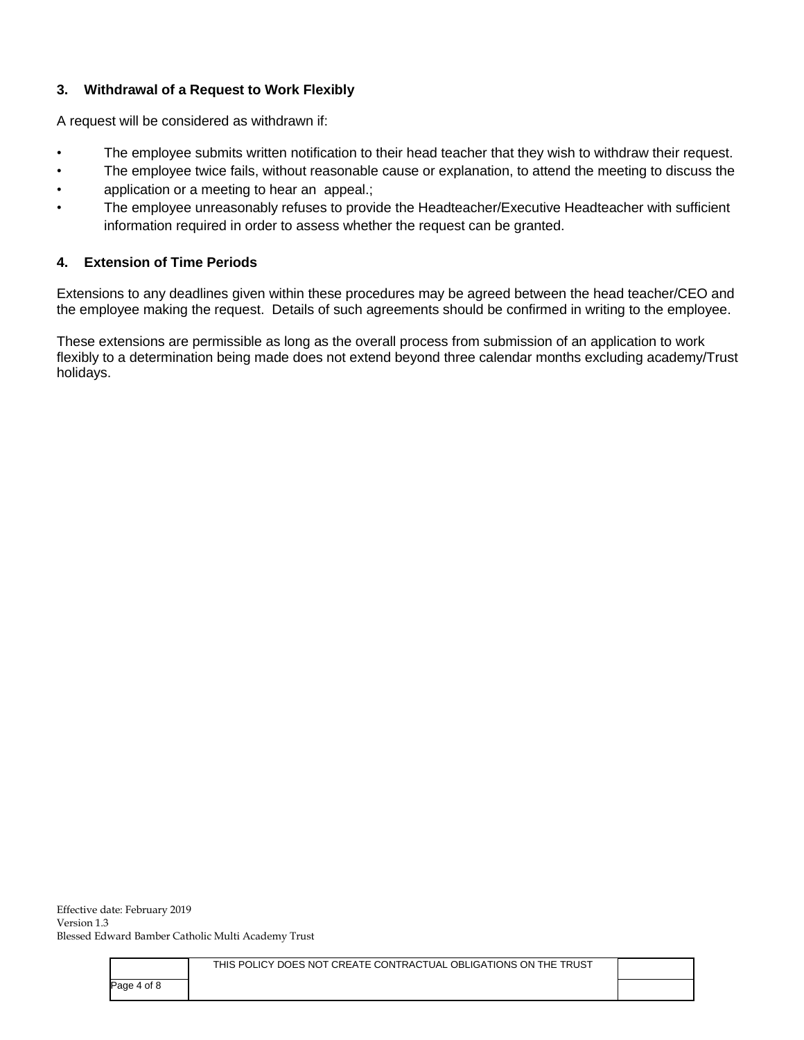## **3. Withdrawal of a Request to Work Flexibly**

A request will be considered as withdrawn if:

- The employee submits written notification to their head teacher that they wish to withdraw their request.
- The employee twice fails, without reasonable cause or explanation, to attend the meeting to discuss the
- application or a meeting to hear an appeal.;
- The employee unreasonably refuses to provide the Headteacher/Executive Headteacher with sufficient information required in order to assess whether the request can be granted.

### **4. Extension of Time Periods**

Extensions to any deadlines given within these procedures may be agreed between the head teacher/CEO and the employee making the request. Details of such agreements should be confirmed in writing to the employee.

These extensions are permissible as long as the overall process from submission of an application to work flexibly to a determination being made does not extend beyond three calendar months excluding academy/Trust holidays.

|             | THIS POLICY DOES NOT CREATE CONTRACTUAL OBLIGATIONS ON THE TRUST |  |
|-------------|------------------------------------------------------------------|--|
| Page 4 of 8 |                                                                  |  |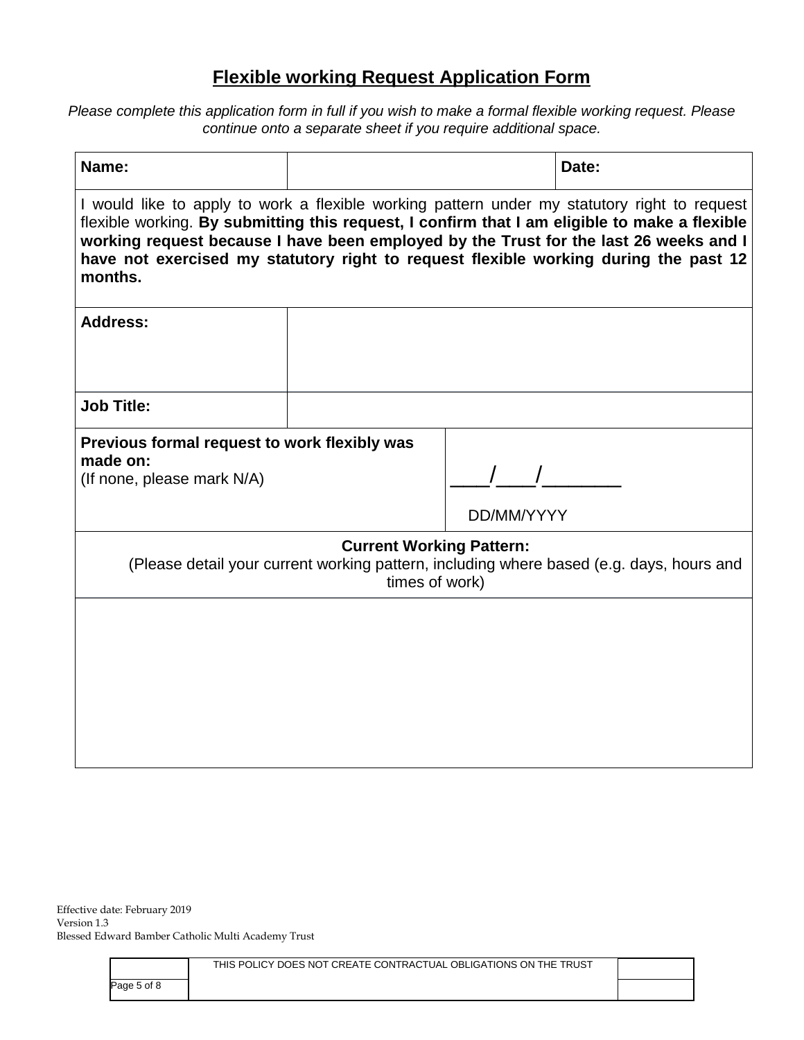# **Flexible working Request Application Form**

Please complete this application form in full if you wish to make a formal flexible working request. Please *continue onto a separate sheet if you require additional space.*

| Name:                                                                                                                                                                                                                                                                                                                                                                                     |  |            | Date: |  |
|-------------------------------------------------------------------------------------------------------------------------------------------------------------------------------------------------------------------------------------------------------------------------------------------------------------------------------------------------------------------------------------------|--|------------|-------|--|
| I would like to apply to work a flexible working pattern under my statutory right to request<br>flexible working. By submitting this request, I confirm that I am eligible to make a flexible<br>working request because I have been employed by the Trust for the last 26 weeks and I<br>have not exercised my statutory right to request flexible working during the past 12<br>months. |  |            |       |  |
| <b>Address:</b>                                                                                                                                                                                                                                                                                                                                                                           |  |            |       |  |
| <b>Job Title:</b>                                                                                                                                                                                                                                                                                                                                                                         |  |            |       |  |
| Previous formal request to work flexibly was<br>made on:<br>(If none, please mark N/A)                                                                                                                                                                                                                                                                                                    |  | DD/MM/YYYY |       |  |
| <b>Current Working Pattern:</b><br>(Please detail your current working pattern, including where based (e.g. days, hours and<br>times of work)                                                                                                                                                                                                                                             |  |            |       |  |
|                                                                                                                                                                                                                                                                                                                                                                                           |  |            |       |  |

|             | THIS POLICY DOES NOT CREATE CONTRACTUAL OBLIGATIONS ON THE TRUST |  |
|-------------|------------------------------------------------------------------|--|
| Page 5 of 8 |                                                                  |  |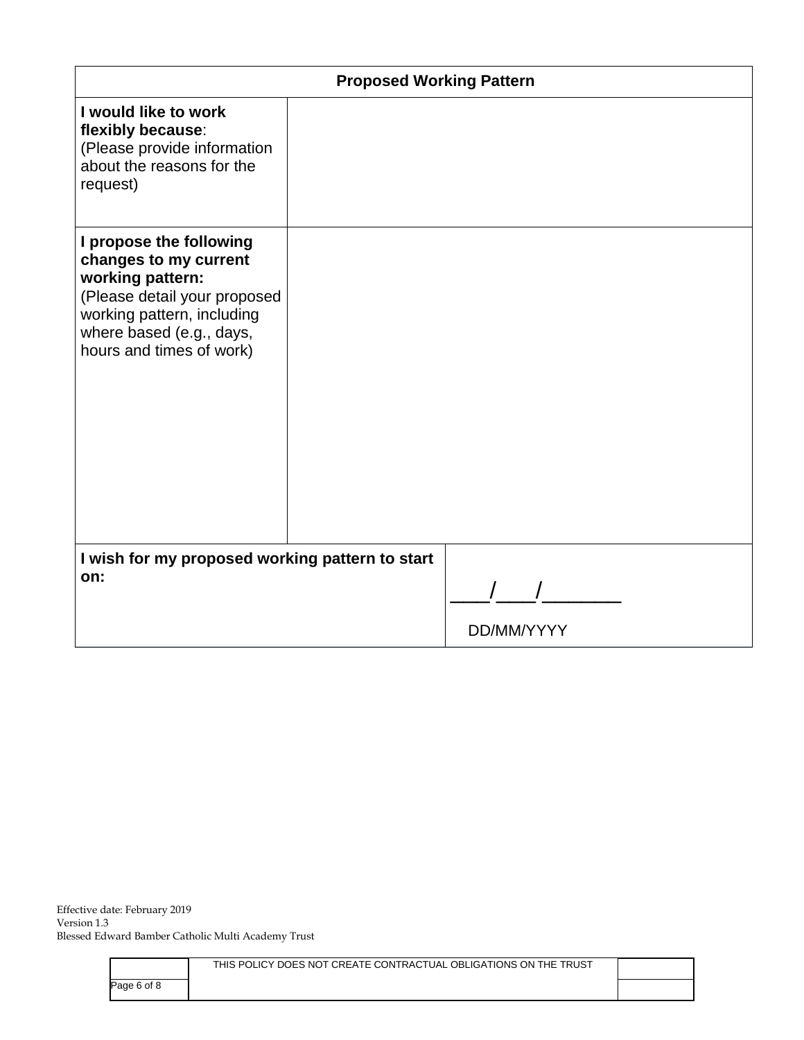| <b>Proposed Working Pattern</b>                                                                                                                                                            |  |            |  |  |
|--------------------------------------------------------------------------------------------------------------------------------------------------------------------------------------------|--|------------|--|--|
| I would like to work<br>flexibly because:<br>(Please provide information<br>about the reasons for the<br>request)                                                                          |  |            |  |  |
| I propose the following<br>changes to my current<br>working pattern:<br>(Please detail your proposed<br>working pattern, including<br>where based (e.g., days,<br>hours and times of work) |  |            |  |  |
| I wish for my proposed working pattern to start<br>on:                                                                                                                                     |  |            |  |  |
|                                                                                                                                                                                            |  | DD/MM/YYYY |  |  |

|             | THIS POLICY DOES NOT CREATE CONTRACTUAL OBLIGATIONS ON THE TRUST |  |
|-------------|------------------------------------------------------------------|--|
| Page 6 of 8 |                                                                  |  |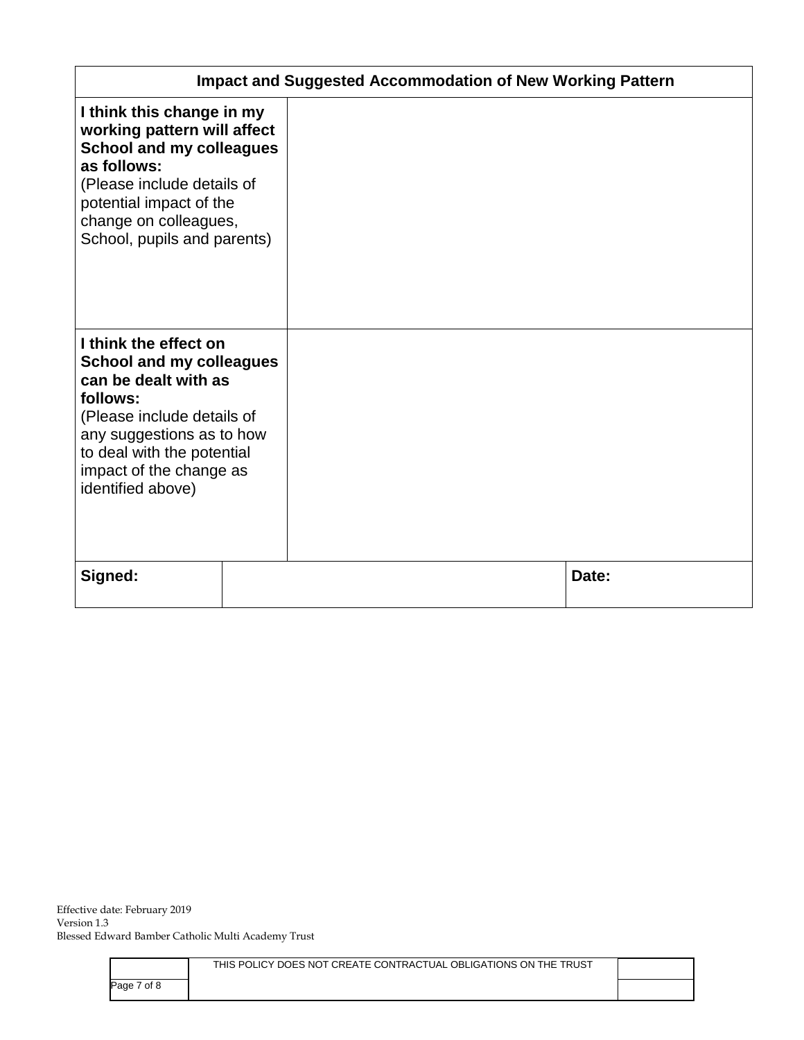| <b>Impact and Suggested Accommodation of New Working Pattern</b>                                                                                                                                                                      |  |  |       |
|---------------------------------------------------------------------------------------------------------------------------------------------------------------------------------------------------------------------------------------|--|--|-------|
| I think this change in my<br>working pattern will affect<br><b>School and my colleagues</b><br>as follows:<br>(Please include details of<br>potential impact of the<br>change on colleagues,<br>School, pupils and parents)           |  |  |       |
| I think the effect on<br><b>School and my colleagues</b><br>can be dealt with as<br>follows:<br>(Please include details of<br>any suggestions as to how<br>to deal with the potential<br>impact of the change as<br>identified above) |  |  |       |
| Signed:                                                                                                                                                                                                                               |  |  | Date: |

|             | THIS POLICY DOES NOT CREATE CONTRACTUAL OBLIGATIONS ON THE TRUST |  |
|-------------|------------------------------------------------------------------|--|
| Page 7 of 8 |                                                                  |  |